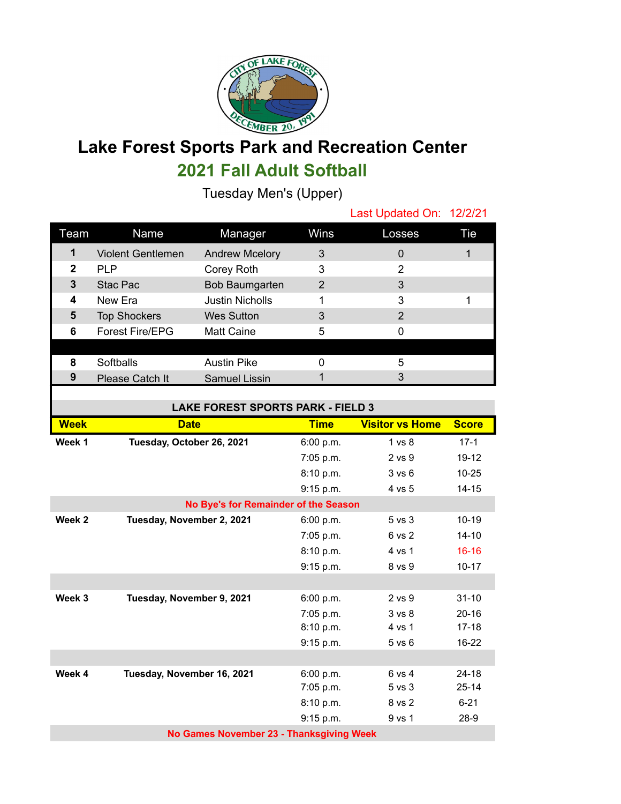

## **Lake Forest Sports Park and Recreation Center 2021 Fall Adult Softball**

Tuesday Men's (Upper)

|             |                          |                        |             | Last Updated On: 12/2/21 |     |
|-------------|--------------------------|------------------------|-------------|--------------------------|-----|
| Team        | Name                     | Manager                | <b>Wins</b> | Losses                   | Tie |
| 1           | <b>Violent Gentlemen</b> | <b>Andrew Mcelory</b>  | 3           | 0                        |     |
| $\mathbf 2$ | <b>PLP</b>               | Corey Roth             | 3           | 2                        |     |
| 3           | Stac Pac                 | Bob Baumgarten         | 2           | 3                        |     |
| 4           | New Era                  | <b>Justin Nicholls</b> |             | 3                        |     |
| 5           | <b>Top Shockers</b>      | <b>Wes Sutton</b>      | 3           | 2                        |     |
| 6           | <b>Forest Fire/EPG</b>   | <b>Matt Caine</b>      | 5           |                          |     |
|             |                          |                        |             |                          |     |
| 8           | Softballs                | <b>Austin Pike</b>     |             | 5                        |     |
| 9           | Please Catch It          | Samuel Lissin          |             | 3                        |     |
|             |                          |                        |             |                          |     |

| <b>LAKE FOREST SPORTS PARK - FIELD 3</b> |                            |             |                        |              |  |  |  |  |
|------------------------------------------|----------------------------|-------------|------------------------|--------------|--|--|--|--|
| <b>Week</b>                              | <b>Date</b>                | <b>Time</b> | <b>Visitor vs Home</b> | <b>Score</b> |  |  |  |  |
| Week 1                                   | Tuesday, October 26, 2021  | 6:00 p.m.   | 1 <sub>vs</sub> 8      | $17-1$       |  |  |  |  |
|                                          |                            | 7:05 p.m.   | $2$ vs $9$             | $19 - 12$    |  |  |  |  |
|                                          |                            | 8:10 p.m.   | 3 v s 6                | $10 - 25$    |  |  |  |  |
|                                          |                            | 9:15 p.m.   | 4 vs 5                 | $14 - 15$    |  |  |  |  |
| No Bye's for Remainder of the Season     |                            |             |                        |              |  |  |  |  |
| Week 2                                   | Tuesday, November 2, 2021  | 6:00 p.m.   | 5 vs 3                 | $10 - 19$    |  |  |  |  |
|                                          |                            | 7:05 p.m.   | 6 vs 2                 | $14 - 10$    |  |  |  |  |
|                                          |                            | 8:10 p.m.   | 4 vs 1                 | $16 - 16$    |  |  |  |  |
|                                          |                            | 9:15 p.m.   | 8 vs 9                 | $10 - 17$    |  |  |  |  |
|                                          |                            |             |                        |              |  |  |  |  |
| Week 3                                   | Tuesday, November 9, 2021  | 6:00 p.m.   | $2$ vs $9$             | $31 - 10$    |  |  |  |  |
|                                          |                            | 7:05 p.m.   | 3 <sub>vs</sub> 8      | $20 - 16$    |  |  |  |  |
|                                          |                            | 8:10 p.m.   | 4 vs 1                 | $17 - 18$    |  |  |  |  |
|                                          |                            | 9:15 p.m.   | $5$ vs $6$             | $16 - 22$    |  |  |  |  |
|                                          |                            |             |                        |              |  |  |  |  |
| Week 4                                   | Tuesday, November 16, 2021 | 6:00 p.m.   | 6 vs 4                 | $24 - 18$    |  |  |  |  |
|                                          |                            | 7:05 p.m.   | $5$ vs $3$             | $25 - 14$    |  |  |  |  |
|                                          |                            | 8:10 p.m.   | 8 vs 2                 | $6 - 21$     |  |  |  |  |
|                                          |                            | 9:15 p.m.   | 9 vs 1                 | $28-9$       |  |  |  |  |
| No Games November 23 - Thanksgiving Week |                            |             |                        |              |  |  |  |  |